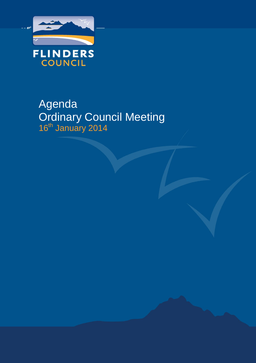

# Agenda Ordinary Council Meeting 16<sup>th</sup> January 2014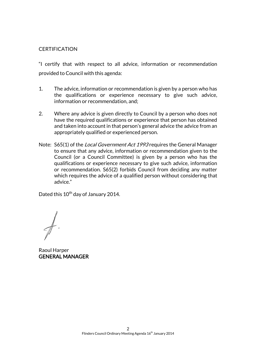### **CERTIFICATION**

"I certify that with respect to all advice, information or recommendation provided to Council with this agenda:

- 1. The advice, information or recommendation is given by a person who has the qualifications or experience necessary to give such advice, information or recommendation, and;
- 2. Where any advice is given directly to Council by a person who does not have the required qualifications or experience that person has obtained and taken into account in that person's general advice the advice from an appropriately qualified or experienced person.
- Note: S65(1) of the *Local Government Act 1993* requires the General Manager to ensure that any advice, information or recommendation given to the Council (or a Council Committee) is given by a person who has the qualifications or experience necessary to give such advice, information or recommendation. S65(2) forbids Council from deciding any matter which requires the advice of a qualified person without considering that advice."

Dated this 10<sup>th</sup> day of January 2014.

Raoul Harper GENERAL MANAGER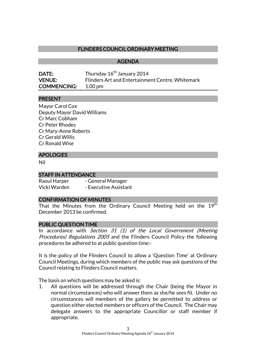### FLINDERS COUNCIL ORDINARY MEETING

#### AGENDA

| <b>DATE:</b>       | Thursday 16 <sup>th</sup> January 2014           |
|--------------------|--------------------------------------------------|
| <b>VENUE:</b>      | Flinders Art and Entertainment Centre, Whitemark |
| <b>COMMENCING:</b> | 1.00 pm                                          |

#### PRESENT

Mayor Carol Cox Deputy Mayor David Williams Cr Marc Cobham Cr Peter Rhodes Cr Mary-Anne Roberts Cr Gerald Willis Cr Ronald Wise

#### APOLOGIES

Nil

#### STAFF IN ATTENDANCE

| Raoul Harper | - General Manager     |
|--------------|-----------------------|
| Vicki Warden | - Executive Assistant |

#### CONFIRMATION OF MINUTES

That the Minutes from the Ordinary Council Meeting held on the 19<sup>th</sup> December 2013 be confirmed.

#### PUBLIC QUESTION TIME

In accordance with Section 31 (1) of the Local Government (Meeting Procedures) Regulations 2005 and the Flinders Council Policy the following procedures be adhered to at public question time:-

It is the policy of the Flinders Council to allow a 'Question Time' at Ordinary Council Meetings, during which members of the public may ask questions of the Council relating to Flinders Council matters.

The basis on which questions may be asked is:

1. All questions will be addressed through the Chair (being the Mayor in normal circumstances) who will answer them as she/he sees fit. Under no circumstances will members of the gallery be permitted to address or question either elected members or officers of the Council. The Chair may delegate answers to the appropriate Councillor or staff member if appropriate.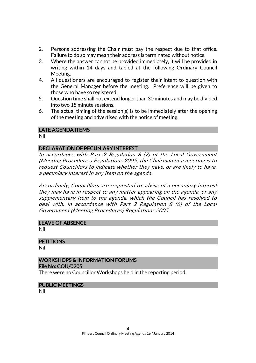- 2. Persons addressing the Chair must pay the respect due to that office. Failure to do so may mean their address is terminated without notice.
- 3. Where the answer cannot be provided immediately, it will be provided in writing within 14 days and tabled at the following Ordinary Council Meeting.
- 4. All questioners are encouraged to register their intent to question with the General Manager before the meeting. Preference will be given to those who have so registered.
- 5. Question time shall not extend longer than 30 minutes and may be divided into two 15 minute sessions.
- 6. The actual timing of the session(s) is to be immediately after the opening of the meeting and advertised with the notice of meeting.

### LATE AGENDA ITEMS

Nil

### DECLARATION OF PECUNIARY INTEREST

In accordance with Part 2 Regulation 8 (7) of the Local Government (Meeting Procedures) Regulations 2005, the Chairman of a meeting is to request Councillors to indicate whether they have, or are likely to have, a pecuniary interest in any item on the agenda.

Accordingly, Councillors are requested to advise of a pecuniary interest they may have in respect to any matter appearing on the agenda, or any supplementary item to the agenda, which the Council has resolved to deal with, in accordance with Part 2 Regulation 8 (6) of the Local Government (Meeting Procedures) Regulations 2005.

#### LEAVE OF ABSENCE

Nil

#### **PETITIONS**

Nil

#### WORKSHOPS & INFORMATION FORUMS File No: COU/0205

There were no Councillor Workshops held in the reporting period.

#### PUBLIC MEETINGS

Nil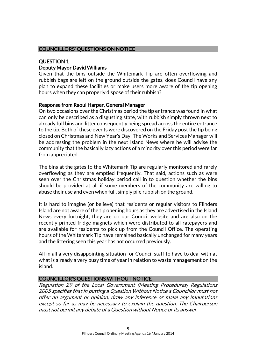### COUNCILLORS' QUESTIONS ON NOTICE

### QUESTION 1 Deputy Mayor David Williams

Given that the bins outside the Whitemark Tip are often overflowing and rubbish bags are left on the ground outside the gates, does Council have any plan to expand these facilities or make users more aware of the tip opening hours when they can properly dispose of their rubbish?

### Response from Raoul Harper, General Manager

On two occasions over the Christmas period the tip entrance was found in what can only be described as a disgusting state, with rubbish simply thrown next to already full bins and litter consequently being spread across the entire entrance to the tip. Both of these events were discovered on the Friday post the tip being closed on Christmas and New Year's Day. The Works and Services Manager will be addressing the problem in the next Island News where he will advise the community that the basically lazy actions of a minority over this period were far from appreciated.

The bins at the gates to the Whitemark Tip are regularly monitored and rarely overflowing as they are emptied frequently. That said, actions such as were seen over the Christmas holiday period call in to question whether the bins should be provided at all if some members of the community are willing to abuse their use and even when full, simply pile rubbish on the ground.

It is hard to imagine (or believe) that residents or regular visitors to Flinders Island are not aware of the tip opening hours as they are advertised in the Island News every fortnight, they are on our Council website and are also on the recently printed fridge magnets which were distributed to all ratepayers and are available for residents to pick up from the Council Office. The operating hours of the Whitemark Tip have remained basically unchanged for many years and the littering seen this year has not occurred previously.

All in all a very disappointing situation for Council staff to have to deal with at what is already a very busy time of year in relation to waste management on the island.

### COUNCILLOR'S QUESTIONS WITHOUT NOTICE

Regulation 29 of the Local Government (Meeting Procedures) Regulations 2005 specifies that in putting a Question Without Notice a Councillor must not offer an argument or opinion, draw any inference or make any imputations except so far as may be necessary to explain the question. The Chairperson must not permit any debate of a Question without Notice or its answer.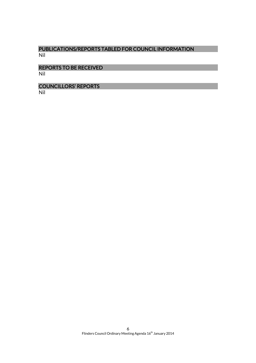### PUBLICATIONS/REPORTS TABLED FOR COUNCIL INFORMATION Nil

#### REPORTS TO BE RECEIVED Nil

COUNCILLORS' REPORTS Nil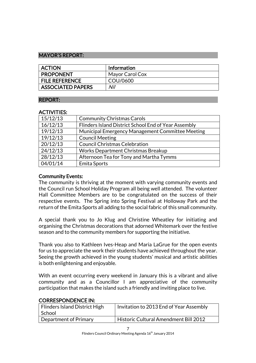#### MAYOR'S REPORT:

| <b>ACTION</b>            | <b>Information</b> |
|--------------------------|--------------------|
| <b>PROPONENT</b>         | Mayor Carol Cox    |
| <b>FILE REFERENCE</b>    | COU/0600           |
| <b>ASSOCIATED PAPERS</b> | Nil                |

### REPORT:

### ACTIVITIES:

| 15/12/13 | <b>Community Christmas Carols</b>                    |
|----------|------------------------------------------------------|
| 16/12/13 | Flinders Island District School End of Year Assembly |
| 19/12/13 | Municipal Emergency Management Committee Meeting     |
| 19/12/13 | <b>Council Meeting</b>                               |
| 20/12/13 | <b>Council Christmas Celebration</b>                 |
| 24/12/13 | Works Department Christmas Breakup                   |
| 28/12/13 | Afternoon Tea for Tony and Martha Tymms              |
| 04/01/14 | Emita Sports                                         |

### Community Events:

The community is thriving at the moment with varying community events and the Council run School Holiday Program all being well attended. The volunteer Hall Committee Members are to be congratulated on the success of their respective events. The Spring into Spring Festival at Holloway Park and the return of the Emita Sports all adding to the social fabric of this small community.

A special thank you to Jo Klug and Christine Wheatley for initiating and organising the Christmas decorations that adorned Whitemark over the festive season and to the community members for supporting the initiative.

Thank you also to Kathleen Ives-Heap and Maria LaGrue for the open events for us to appreciate the work their students have achieved throughout the year. Seeing the growth achieved in the young students' musical and artistic abilities is both enlightening and enjoyable.

With an event occurring every weekend in January this is a vibrant and alive community and as a Councillor I am appreciative of the community participation that makes the island such a friendly and inviting place to live.

### CORRESPONDENCE IN:

| Flinders Island District High<br>l School | Invitation to 2013 End of Year Assembly |
|-------------------------------------------|-----------------------------------------|
| Department of Primary                     | Historic Cultural Amendment Bill 2012   |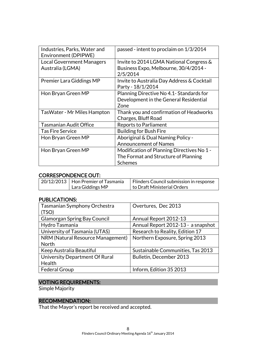| Industries, Parks, Water and<br>Environment (DPIPWE) | passed - intent to proclaim on 1/3/2014                                                    |
|------------------------------------------------------|--------------------------------------------------------------------------------------------|
| <b>Local Government Managers</b><br>Australia (LGMA) | Invite to 2014 LGMA National Congress &<br>Business Expo, Melbourne, 30/4/2014 -           |
|                                                      | 2/5/2014                                                                                   |
| <b>Premier Lara Giddings MP</b>                      | Invite to Australia Day Address & Cocktail<br>Party - 18/1/2014                            |
| Hon Bryan Green MP                                   | Planning Directive No 4.1- Standards for<br>Development in the General Residential<br>Zone |
| TasWater - Mr Miles Hampton                          | Thank you and confirmation of Headworks<br>Charges, Bluff Road                             |
| <b>Tasmanian Audit Office</b>                        | <b>Reports to Parliament</b>                                                               |
| <b>Tas Fire Service</b>                              | <b>Building for Bush Fire</b>                                                              |
| Hon Bryan Green MP                                   | Aboriginal & Dual Naming Policy -                                                          |
|                                                      | <b>Announcement of Names</b>                                                               |
| Hon Bryan Green MP                                   | Modification of Planning Directives No 1 -                                                 |
|                                                      | The Format and Structure of Planning                                                       |
|                                                      | <b>Schemes</b>                                                                             |

### CORRESPONDENCE OUT:

| 20/12/2013 Hon Premier of Tasmania | Flinders Council submission in response |
|------------------------------------|-----------------------------------------|
| Lara Giddings MP                   | to Draft Ministerial Orders             |

#### PUBLICATIONS:

| Tasmanian Symphony Orchestra        | Overtures, Dec 2013                |
|-------------------------------------|------------------------------------|
| (TSO)                               |                                    |
| <b>Glamorgan Spring Bay Council</b> | Annual Report 2012-13              |
| Hydro Tasmania                      | Annual Report 2012-13 - a snapshot |
| University of Tasmania (UTAS)       | Research to Reality, Edition 17    |
| NRM (Natural Resource Management)   | Northern Exposure, Spring 2013     |
| <b>North</b>                        |                                    |
| Keep Australia Beautiful            | Sustainable Communities, Tas 2013  |
| University Department Of Rural      | Bulletin, December 2013            |
| Health                              |                                    |
| <b>Federal Group</b>                | Inform, Edition 35 2013            |

### VOTING REQUIREMENTS:

Simple Majority

## RECOMMENDATION:

That the Mayor's report be received and accepted.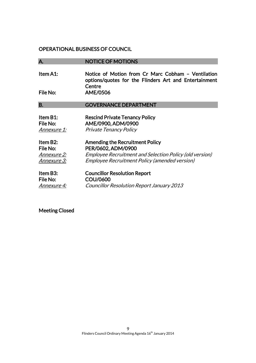#### OPERATIONAL BUSINESS OF COUNCIL

### A. NOTICE OF MOTIONS

Item A1: Notice of Motion from Cr Marc Cobham – Ventilation options/quotes for the Flinders Art and Entertainment **Centre** File No: AME/0506

#### B. **GOVERNANCE DEPARTMENT**

| Item B1:<br>File No:<br>Annexure 1: | <b>Rescind Private Tenancy Policy</b><br>AME/0900, ADM/0900<br><b>Private Tenancy Policy</b> |
|-------------------------------------|----------------------------------------------------------------------------------------------|
| Item B <sub>2</sub> :<br>File No:   | <b>Amending the Recruitment Policy</b><br>PER/0602, ADM/0900                                 |
| Annexure 2:                         | Employee Recruitment and Selection Policy (old version)                                      |
| Annexure 3:                         | <b>Employee Recruitment Policy (amended version)</b>                                         |
| Item B3:                            | <b>Councillor Resolution Report</b>                                                          |
| <b>File No:</b>                     | COU/0600                                                                                     |
| Annexure 4:                         | <b>Councillor Resolution Report January 2013</b>                                             |

Meeting Closed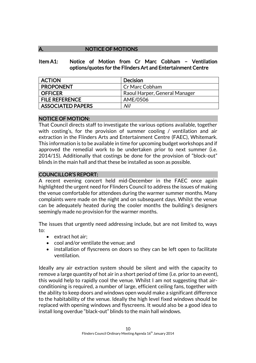### A. NOTICE OF MOTIONS

Item A1: Notice of Motion from Cr Marc Cobham – Ventilation options/quotes for the Flinders Art and Entertainment Centre

| <b>ACTION</b>         | <b>Decision</b>               |
|-----------------------|-------------------------------|
| <b>PROPONENT</b>      | Cr Marc Cobham                |
| <b>OFFICER</b>        | Raoul Harper, General Manager |
| <b>FILE REFERENCE</b> | AME/0506                      |
| ASSOCIATED PAPERS     | Nil                           |

### NOTICE OF MOTION:

That Council directs staff to investigate the various options available, together with costing's, for the provision of summer cooling / ventilation and air extraction in the Flinders Arts and Entertainment Centre (FAEC), Whitemark. This information is to be available in time for upcoming budget workshops and if approved the remedial work to be undertaken prior to next summer (i.e. 2014/15). Additionally that costings be done for the provision of "block-out" blinds in the main hall and that these be installed as soon as possible.

### COUNCILLOR'S REPORT:

A recent evening concert held mid-December in the FAEC once again highlighted the urgent need for Flinders Council to address the issues of making the venue comfortable for attendees during the warmer summer months. Many complaints were made on the night and on subsequent days. Whilst the venue can be adequately heated during the cooler months the building's designers seemingly made no provision for the warmer months.

The issues that urgently need addressing include, but are not limited to, ways to:

- extract hot air:
- cool and/or ventilate the venue; and
- installation of flyscreens on doors so they can be left open to facilitate ventilation.

Ideally any air extraction system should be silent and with the capacity to remove a large quantity of hot air in a short period of time (i.e. prior to an event), this would help to rapidly cool the venue. Whilst I am not suggesting that airconditioning is required, a number of large, efficient ceiling fans, together with the ability to keep doors and windows open would make a significant difference to the habitability of the venue. Ideally the high level fixed windows should be replaced with opening windows and flyscreens. It would also be a good idea to install long overdue "black-out" blinds to the main hall windows.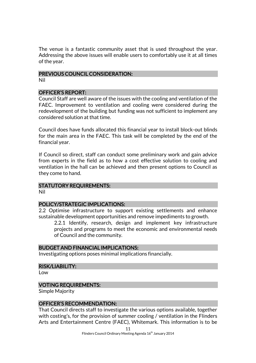The venue is a fantastic community asset that is used throughout the year. Addressing the above issues will enable users to comfortably use it at all times of the year.

# PREVIOUS COUNCIL CONSIDERATION:

Nil

### OFFICER'S REPORT:

Council Staff are well aware of the issues with the cooling and ventilation of the FAEC. Improvement to ventilation and cooling were considered during the redevelopment of the building but funding was not sufficient to implement any considered solution at that time.

Council does have funds allocated this financial year to install block-out blinds for the main area in the FAEC. This task will be completed by the end of the financial year.

If Council so direct, staff can conduct some preliminary work and gain advice from experts in the field as to how a cost effective solution to cooling and ventilation in the hall can be achieved and then present options to Council as they come to hand.

### STATUTORY REQUIREMENTS:

Nil

### POLICY/STRATEGIC IMPLICATIONS:

2.2 Optimise infrastructure to support existing settlements and enhance sustainable development opportunities and remove impediments to growth.

2.2.1 Identify, research, design and implement key infrastructure projects and programs to meet the economic and environmental needs of Council and the community.

### BUDGET AND FINANCIAL IMPLICATIONS:

Investigating options poses minimal implications financially.

### RISK/LIABILITY:

Low

### VOTING REQUIREMENTS:

Simple Majority

### OFFICER'S RECOMMENDATION:

That Council directs staff to investigate the various options available, together with costing's, for the provision of summer cooling / ventilation in the Flinders Arts and Entertainment Centre (FAEC), Whitemark. This information is to be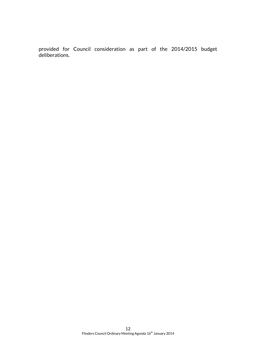provided for Council consideration as part of the 2014/2015 budget deliberations.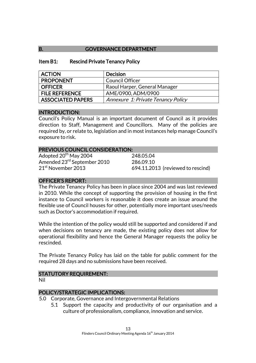### B. **GOVERNANCE DEPARTMENT**

#### Item B1: Rescind Private Tenancy Policy

| <b>ACTION</b>            | <b>Decision</b>                    |
|--------------------------|------------------------------------|
| <b>PROPONENT</b>         | <b>Council Officer</b>             |
| <b>OFFICER</b>           | Raoul Harper, General Manager      |
| <b>FILE REFERENCE</b>    | AME/0900, ADM/0900                 |
| <b>ASSOCIATED PAPERS</b> | Annexure 1: Private Tenancy Policy |

### INTRODUCTION:

Council's Policy Manual is an important document of Council as it provides direction to Staff, Management and Councillors. Many of the policies are required by, or relate to, legislation and in most instances help manage Council's exposure to risk.

#### PREVIOUS COUNCIL CONSIDERATION:

Adopted  $20^{th}$  May 2004 248.05.04 Amended 23<sup>rd</sup> September 2010 286.09.10<br>21<sup>st</sup> November 2013 694.11.20

694.11.2013 (reviewed to rescind)

### OFFICER'S REPORT:

The Private Tenancy Policy has been in place since 2004 and was last reviewed in 2010. While the concept of supporting the provision of housing in the first instance to Council workers is reasonable it does create an issue around the flexible use of Council houses for other, potentially more important uses/needs such as Doctor's accommodation if required.

While the intention of the policy would still be supported and considered if and when decisions on tenancy are made, the existing policy does not allow for operational flexibility and hence the General Manager requests the policy be rescinded.

The Private Tenancy Policy has laid on the table for public comment for the required 28 days and no submissions have been received.

### STATUTORY REQUIREMENT:

Nil

### POLICY/STRATEGIC IMPLICATIONS:

- 5.0 Corporate, Governance and Intergovernmental Relations
	- 5.1 Support the capacity and productivity of our organisation and a culture of professionalism, compliance, innovation and service.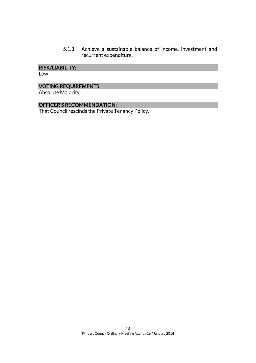5.1.3 Achieve a sustainable balance of income, investment and recurrent expenditure.

### RISK/LIABILITY:

Low

### VOTING REQUIREMENTS:

Absolute Majority

### OFFICER'S RECOMMENDATION:

That Council rescinds the Private Tenancy Policy.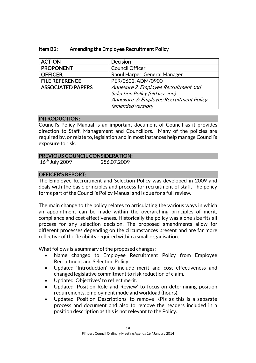| <b>ACTION</b>            | <b>Decision</b>                         |
|--------------------------|-----------------------------------------|
| <b>PROPONENT</b>         | Council Officer                         |
| <b>OFFICER</b>           | Raoul Harper, General Manager           |
| <b>FILE REFERENCE</b>    | PER/0602, ADM/0900                      |
| <b>ASSOCIATED PAPERS</b> | Annexure 2: Employee Recruitment and    |
|                          | Selection Policy (old version)          |
|                          | Annexure 3: Employee Recruitment Policy |
|                          | (amended version)                       |

### Item B2: Amending the Employee Recruitment Policy

#### INTRODUCTION:

Council's Policy Manual is an important document of Council as it provides direction to Staff, Management and Councillors. Many of the policies are required by, or relate to, legislation and in most instances help manage Council's exposure to risk.

### PREVIOUS COUNCIL CONSIDERATION:

16th July 2009 256.07.2009

### OFFICER'S REPORT:

The Employee Recruitment and Selection Policy was developed in 2009 and deals with the basic principles and process for recruitment of staff. The policy forms part of the Council's Policy Manual and is due for a full review.

The main change to the policy relates to articulating the various ways in which an appointment can be made within the overarching principles of merit, compliance and cost effectiveness. Historically the policy was a one size fits all process for any selection decision. The proposed amendments allow for different processes depending on the circumstances present and are far more reflective of the flexibility required within a small organisation.

What follows is a summary of the proposed changes:

- Name changed to Employee Recruitment Policy from Employee Recruitment and Selection Policy.
- Updated 'Introduction' to include merit and cost effectiveness and changed legislative commitment to risk reduction of claim.
- Updated 'Objectives' to reflect merit.
- Updated 'Position Role and Review' to focus on determining position requirements, employment mode and workload (hours).
- Updated 'Position Descriptions' to remove KPIs as this is a separate process and document and also to remove the headers included in a position description as this is not relevant to the Policy.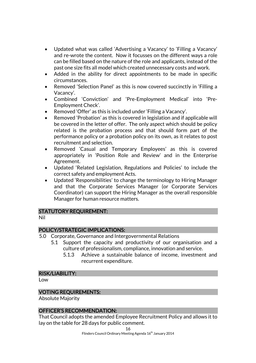- Updated what was called 'Advertising a Vacancy' to 'Filling a Vacancy' and re-wrote the content. Now it focusses on the different ways a role can be filled based on the nature of the role and applicants, instead of the past one size fits all model which created unnecessary costs and work.
- Added in the ability for direct appointments to be made in specific circumstances.
- Removed 'Selection Panel' as this is now covered succinctly in 'Filling a Vacancy'.
- Combined 'Conviction' and 'Pre-Employment Medical' into 'Pre-Employment Check'.
- Removed 'Offer' as this is included under 'Filling a Vacancy'.
- Removed 'Probation' as this is covered in legislation and if applicable will be covered in the letter of offer. The only aspect which should be policy related is the probation process and that should form part of the performance policy or a probation policy on its own, as it relates to post recruitment and selection.
- Removed 'Casual and Temporary Employees' as this is covered appropriately in 'Position Role and Review' and in the Enterprise Agreement.
- Updated 'Related Legislation, Regulations and Policies' to include the correct safety and employment Acts.
- Updated 'Responsibilities' to change the terminology to Hiring Manager and that the Corporate Services Manager (or Corporate Services Coordinator) can support the Hiring Manager as the overall responsible Manager for human resource matters.

#### STATUTORY REQUIREMENT:

Nil

### POLICY/STRATEGIC IMPLICATIONS:

- 5.0 Corporate, Governance and Intergovernmental Relations
	- 5.1 Support the capacity and productivity of our organisation and a culture of professionalism, compliance, innovation and service.
		- 5.1.3 Achieve a sustainable balance of income, investment and recurrent expenditure.

#### RISK/LIABILITY:

Low

#### VOTING REQUIREMENTS:

Absolute Majority

#### OFFICER'S RECOMMENDATION:

That Council adopts the amended Employee Recruitment Policy and allows it to lay on the table for 28 days for public comment.